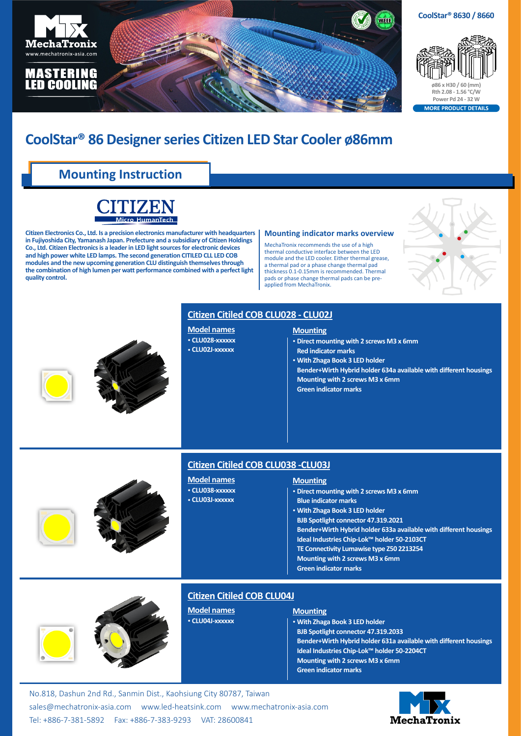

# **CoolStar® 86 Designer series Citizen LED Star Cooler ø86mm**

## **Mounting Instruction**



**Citizen Electronics Co., Ltd. Is a precision electronics manufacturer with headquarters in Fujiyoshida City, Yamanash Japan. Prefecture and a subsidiary of Citizen Holdings Co., Ltd. Citizen Electronics is a leader in LED light sources for electronic devices and high power white LED lamps. The second generation CITILED CLL LED COB modules and the new upcoming generation CLU distinguish themselves through the combination of high lumen per watt performance combined with a perfect light quality control.**

#### **Mounting indicator marks overview**

MechaTronix recommends the use of a high thermal conductive interface between the LED module and the LED cooler. Either thermal grease, a thermal pad or a phase change thermal pad thickness 0.1-0.15mm is recommended. Thermal pads or phase change thermal pads can be preapplied from MechaTronix.







#### **Citizen Citiled COB CLU028 - CLU02J**

#### **Model names**

• **CLU028-xxxxxx** • **CLU02J-xxxxxx**

#### **Mounting**

- • **Direct mounting with 2 screws M3 x 6mm Red indicator marks**
- • **With Zhaga Book 3 LED holder**
- **Bender+Wirth Hybrid holder 634a available with different housings Mounting with 2 screws M3 x 6mm Green indicator marks**





### **Citizen Citiled COB CLU038 -CLU03J**

#### **Model names** • **CLU038-xxxxxx** • **CLU03J-xxxxxx**

#### **Mounting**

- • **Direct mounting with 2 screws M3 x 6mm Blue indicator marks**
- • **With Zhaga Book 3 LED holder**
- **BJB Spotlight connector 47.319.2021**
- **Bender+Wirth Hybrid holder 633a available with different housings**
- **Ideal Industries Chip-Lok™ holder 50-2103CT**
- **TE Connectivity Lumawise type Z50 2213254**
- **Mounting with 2 screws M3 x 6mm**
- **Green indicator marks**





### **Citizen Citiled COB CLU04J**

**Model names** • **CLU04J-xxxxxx**

#### **Mounting**

• **With Zhaga Book 3 LED holder BJB Spotlight connector 47.319.2033 Bender+Wirth Hybrid holder 631a available with different housings Ideal Industries Chip-Lok™ holder 50-2204CT Mounting with 2 screws M3 x 6mm Green indicator marks**

No.818, Dashun 2nd Rd., Sanmin Dist., Kaohsiung City 80787, Taiwan [sales@mechatronix-asia.com](mailto:sales%40mechatronix-asia.com?subject=) [www.led-heatsink.com](http://www.led-heatsink.com) [www.mechatronix-asia.com](http://www.mechatronix-asia.com) Tel: +886-7-381-5892 Fax: +886-7-383-9293 VAT: 28600841